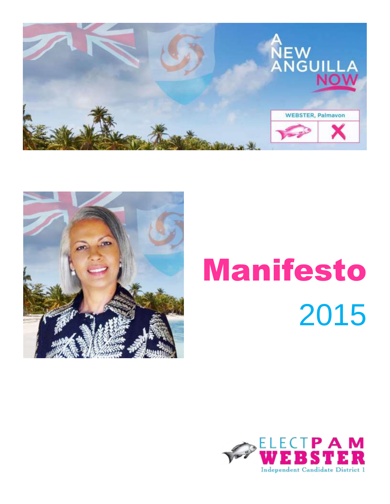



# Manifesto 2015

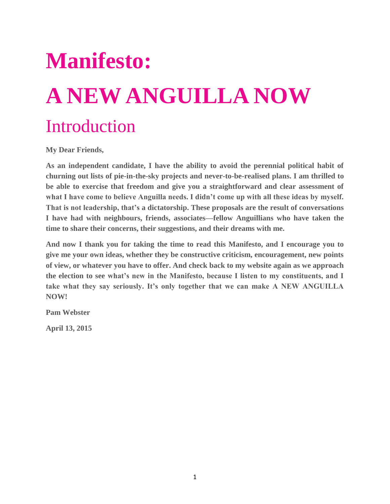## **Manifesto: A NEW ANGUILLA NOW** Introduction

**My Dear Friends,**

**As an independent candidate, I have the ability to avoid the perennial political habit of churning out lists of pie-in-the-sky projects and never-to-be-realised plans. I am thrilled to be able to exercise that freedom and give you a straightforward and clear assessment of what I have come to believe Anguilla needs. I didn't come up with all these ideas by myself. That is not leadership, that's a dictatorship. These proposals are the result of conversations I have had with neighbours, friends, associates—fellow Anguillians who have taken the time to share their concerns, their suggestions, and their dreams with me.**

**And now I thank you for taking the time to read this Manifesto, and I encourage you to give me your own ideas, whether they be constructive criticism, encouragement, new points of view, or whatever you have to offer. And check back to my website again as we approach the election to see what's new in the Manifesto, because I listen to my constituents, and I take what they say seriously. It's only together that we can make A NEW ANGUILLA NOW!**

**Pam Webster**

**April 13, 2015**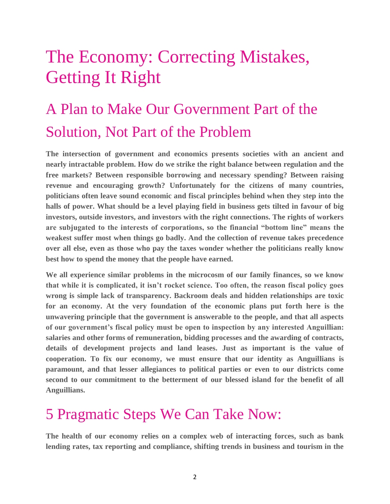## The Economy: Correcting Mistakes, Getting It Right

## A Plan to Make Our Government Part of the Solution, Not Part of the Problem

**The intersection of government and economics presents societies with an ancient and nearly intractable problem. How do we strike the right balance between regulation and the free markets? Between responsible borrowing and necessary spending? Between raising revenue and encouraging growth? Unfortunately for the citizens of many countries, politicians often leave sound economic and fiscal principles behind when they step into the halls of power. What should be a level playing field in business gets tilted in favour of big investors, outside investors, and investors with the right connections. The rights of workers are subjugated to the interests of corporations, so the financial "bottom line" means the weakest suffer most when things go badly. And the collection of revenue takes precedence over all else, even as those who pay the taxes wonder whether the politicians really know best how to spend the money that the people have earned.**

**We all experience similar problems in the microcosm of our family finances, so we know that while it is complicated, it isn't rocket science. Too often, the reason fiscal policy goes wrong is simple lack of transparency. Backroom deals and hidden relationships are toxic for an economy. At the very foundation of the economic plans put forth here is the unwavering principle that the government is answerable to the people, and that all aspects of our government's fiscal policy must be open to inspection by any interested Anguillian: salaries and other forms of remuneration, bidding processes and the awarding of contracts, details of development projects and land leases. Just as important is the value of cooperation. To fix our economy, we must ensure that our identity as Anguillians is paramount, and that lesser allegiances to political parties or even to our districts come second to our commitment to the betterment of our blessed island for the benefit of all Anguillians.** 

### 5 Pragmatic Steps We Can Take Now:

**The health of our economy relies on a complex web of interacting forces, such as bank lending rates, tax reporting and compliance, shifting trends in business and tourism in the**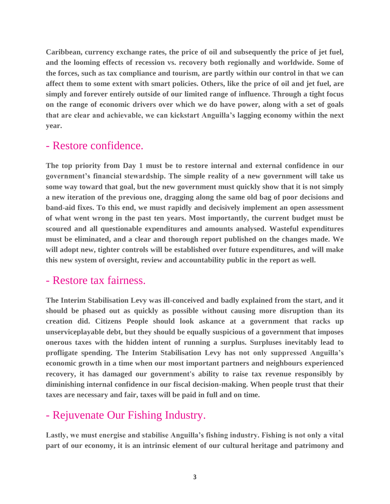**Caribbean, currency exchange rates, the price of oil and subsequently the price of jet fuel, and the looming effects of recession vs. recovery both regionally and worldwide. Some of the forces, such as tax compliance and tourism, are partly within our control in that we can affect them to some extent with smart policies. Others, like the price of oil and jet fuel, are simply and forever entirely outside of our limited range of influence. Through a tight focus on the range of economic drivers over which we do have power, along with a set of goals that are clear and achievable, we can kickstart Anguilla's lagging economy within the next year.**

#### - Restore confidence.

**The top priority from Day 1 must be to restore internal and external confidence in our government's financial stewardship. The simple reality of a new government will take us some way toward that goal, but the new government must quickly show that it is not simply a new iteration of the previous one, dragging along the same old bag of poor decisions and band-aid fixes. To this end, we must rapidly and decisively implement an open assessment of what went wrong in the past ten years. Most importantly, the current budget must be scoured and all questionable expenditures and amounts analysed. Wasteful expenditures must be eliminated, and a clear and thorough report published on the changes made. We will adopt new, tighter controls will be established over future expenditures, and will make this new system of oversight, review and accountability public in the report as well.**

#### - Restore tax fairness.

**The Interim Stabilisation Levy was ill-conceived and badly explained from the start, and it should be phased out as quickly as possible without causing more disruption than its creation did. Citizens People should look askance at a government that racks up unserviceplayable debt, but they should be equally suspicious of a government that imposes onerous taxes with the hidden intent of running a surplus. Surpluses inevitably lead to profligate spending. The Interim Stabilisation Levy has not only suppressed Anguilla's economic growth in a time when our most important partners and neighbours experienced recovery, it has damaged our government's ability to raise tax revenue responsibly by diminishing internal confidence in our fiscal decision-making. When people trust that their taxes are necessary and fair, taxes will be paid in full and on time.**

#### - Rejuvenate Our Fishing Industry.

**Lastly, we must energise and stabilise Anguilla's fishing industry. Fishing is not only a vital part of our economy, it is an intrinsic element of our cultural heritage and patrimony and**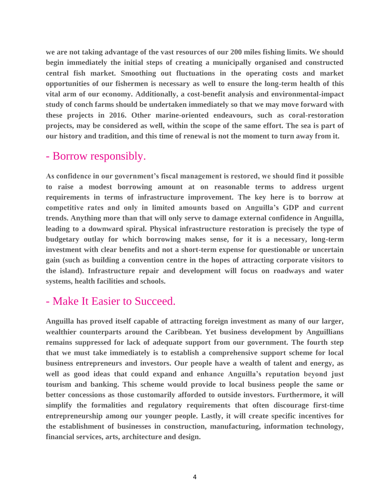**we are not taking advantage of the vast resources of our 200 miles fishing limits. We should begin immediately the initial steps of creating a municipally organised and constructed central fish market. Smoothing out fluctuations in the operating costs and market opportunities of our fishermen is necessary as well to ensure the long-term health of this vital arm of our economy. Additionally, a cost-benefit analysis and environmental-impact study of conch farms should be undertaken immediately so that we may move forward with these projects in 2016. Other marine-oriented endeavours, such as coral-restoration projects, may be considered as well, within the scope of the same effort. The sea is part of our history and tradition, and this time of renewal is not the moment to turn away from it.**

#### - Borrow responsibly.

**As confidence in our government's fiscal management is restored, we should find it possible to raise a modest borrowing amount at on reasonable terms to address urgent requirements in terms of infrastructure improvement. The key here is to borrow at competitive rates and only in limited amounts based on Anguilla's GDP and current trends. Anything more than that will only serve to damage external confidence in Anguilla, leading to a downward spiral. Physical infrastructure restoration is precisely the type of budgetary outlay for which borrowing makes sense, for it is a necessary, long-term investment with clear benefits and not a short-term expense for questionable or uncertain gain (such as building a convention centre in the hopes of attracting corporate visitors to the island). Infrastructure repair and development will focus on roadways and water systems, health facilities and schools.**

#### - Make It Easier to Succeed.

**Anguilla has proved itself capable of attracting foreign investment as many of our larger, wealthier counterparts around the Caribbean. Yet business development by Anguillians remains suppressed for lack of adequate support from our government. The fourth step that we must take immediately is to establish a comprehensive support scheme for local business entrepreneurs and investors. Our people have a wealth of talent and energy, as well as good ideas that could expand and enhance Anguilla's reputation beyond just tourism and banking. This scheme would provide to local business people the same or better concessions as those customarily afforded to outside investors. Furthermore, it will simplify the formalities and regulatory requirements that often discourage first-time entrepreneurship among our younger people. Lastly, it will create specific incentives for the establishment of businesses in construction, manufacturing, information technology, financial services, arts, architecture and design.**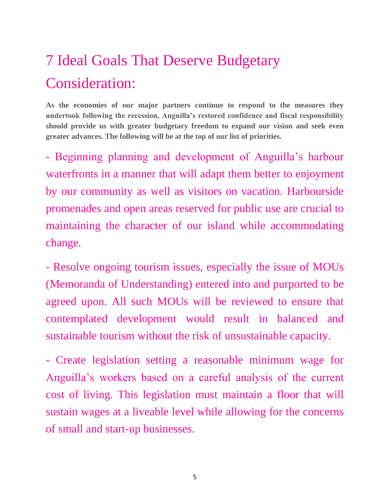## 7 Ideal Goals That Deserve Budgetary Consideration:

**As the economies of our major partners continue to respond to the measures they undertook following the recession, Anguilla's restored confidence and fiscal responsibility should provide us with greater budgetary freedom to expand our vision and seek even greater advances. The following will be at the top of our list of priorities.**

- Beginning planning and development of Anguilla's harbour waterfronts in a manner that will adapt them better to enjoyment by our community as well as visitors on vacation. Harbourside promenades and open areas reserved for public use are crucial to maintaining the character of our island while accommodating change.

- Resolve ongoing tourism issues, especially the issue of MOUs (Memoranda of Understanding) entered into and purported to be agreed upon. All such MOUs will be reviewed to ensure that contemplated development would result in balanced and sustainable tourism without the risk of unsustainable capacity.

- Create legislation setting a reasonable minimum wage for Anguilla's workers based on a careful analysis of the current cost of living. This legislation must maintain a floor that will sustain wages at a liveable level while allowing for the concerns of small and start-up businesses.

5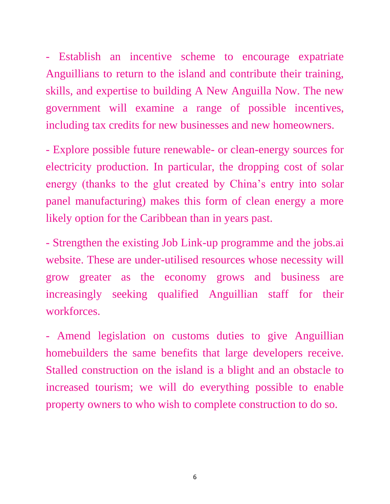- Establish an incentive scheme to encourage expatriate Anguillians to return to the island and contribute their training, skills, and expertise to building A New Anguilla Now. The new government will examine a range of possible incentives, including tax credits for new businesses and new homeowners.

- Explore possible future renewable- or clean-energy sources for electricity production. In particular, the dropping cost of solar energy (thanks to the glut created by China's entry into solar panel manufacturing) makes this form of clean energy a more likely option for the Caribbean than in years past.

- Strengthen the existing Job Link-up programme and the jobs.ai website. These are under-utilised resources whose necessity will grow greater as the economy grows and business are increasingly seeking qualified Anguillian staff for their workforces.

- Amend legislation on customs duties to give Anguillian homebuilders the same benefits that large developers receive. Stalled construction on the island is a blight and an obstacle to increased tourism; we will do everything possible to enable property owners to who wish to complete construction to do so.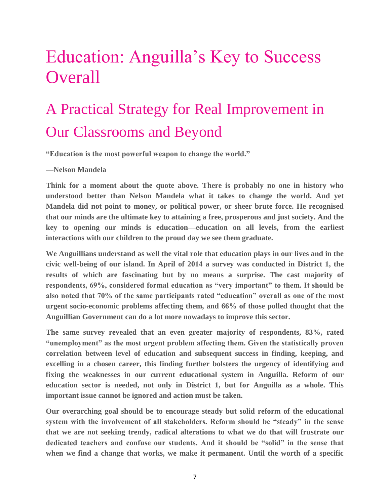## Education: Anguilla's Key to Success **Overall**

## A Practical Strategy for Real Improvement in Our Classrooms and Beyond

**"Education is the most powerful weapon to change the world."**

#### **—Nelson Mandela**

**Think for a moment about the quote above. There is probably no one in history who understood better than Nelson Mandela what it takes to change the world. And yet Mandela did not point to money, or political power, or sheer brute force. He recognised that our minds are the ultimate key to attaining a free, prosperous and just society. And the key to opening our minds is education—education on all levels, from the earliest interactions with our children to the proud day we see them graduate.** 

**We Anguillians understand as well the vital role that education plays in our lives and in the civic well-being of our island. In April of 2014 a survey was conducted in District 1, the results of which are fascinating but by no means a surprise. The cast majority of respondents, 69%, considered formal education as "very important" to them. It should be also noted that 70% of the same participants rated "education" overall as one of the most urgent socio-economic problems affecting them, and 66% of those polled thought that the Anguillian Government can do a lot more nowadays to improve this sector.**

**The same survey revealed that an even greater majority of respondents, 83%, rated "unemployment" as the most urgent problem affecting them. Given the statistically proven correlation between level of education and subsequent success in finding, keeping, and excelling in a chosen career, this finding further bolsters the urgency of identifying and fixing the weaknesses in our current educational system in Anguilla. Reform of our education sector is needed, not only in District 1, but for Anguilla as a whole. This important issue cannot be ignored and action must be taken.**

**Our overarching goal should be to encourage steady but solid reform of the educational system with the involvement of all stakeholders. Reform should be "steady" in the sense that we are not seeking trendy, radical alterations to what we do that will frustrate our dedicated teachers and confuse our students. And it should be "solid" in the sense that when we find a change that works, we make it permanent. Until the worth of a specific**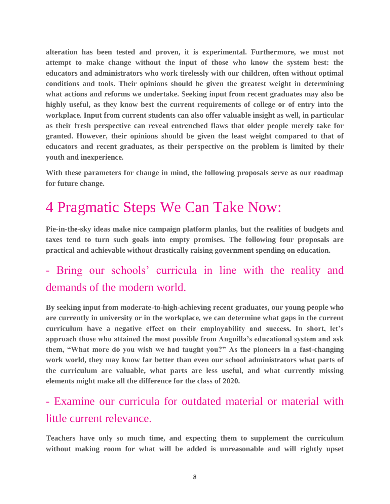**alteration has been tested and proven, it is experimental. Furthermore, we must not attempt to make change without the input of those who know the system best: the educators and administrators who work tirelessly with our children, often without optimal conditions and tools. Their opinions should be given the greatest weight in determining what actions and reforms we undertake. Seeking input from recent graduates may also be highly useful, as they know best the current requirements of college or of entry into the workplace. Input from current students can also offer valuable insight as well, in particular as their fresh perspective can reveal entrenched flaws that older people merely take for granted. However, their opinions should be given the least weight compared to that of educators and recent graduates, as their perspective on the problem is limited by their youth and inexperience.**

**With these parameters for change in mind, the following proposals serve as our roadmap for future change.**

## 4 Pragmatic Steps We Can Take Now:

**Pie-in-the-sky ideas make nice campaign platform planks, but the realities of budgets and taxes tend to turn such goals into empty promises. The following four proposals are practical and achievable without drastically raising government spending on education.**

#### - Bring our schools' curricula in line with the reality and demands of the modern world.

**By seeking input from moderate-to-high-achieving recent graduates, our young people who are currently in university or in the workplace, we can determine what gaps in the current curriculum have a negative effect on their employability and success. In short, let's approach those who attained the most possible from Anguilla's educational system and ask them, "What more do you wish we had taught you?" As the pioneers in a fast-changing work world, they may know far better than even our school administrators what parts of the curriculum are valuable, what parts are less useful, and what currently missing elements might make all the difference for the class of 2020.**

#### - Examine our curricula for outdated material or material with little current relevance.

**Teachers have only so much time, and expecting them to supplement the curriculum without making room for what will be added is unreasonable and will rightly upset**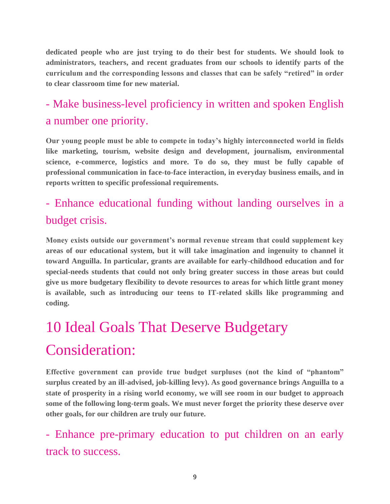**dedicated people who are just trying to do their best for students. We should look to administrators, teachers, and recent graduates from our schools to identify parts of the curriculum and the corresponding lessons and classes that can be safely "retired" in order to clear classroom time for new material.**

#### - Make business-level proficiency in written and spoken English a number one priority.

**Our young people must be able to compete in today's highly interconnected world in fields like marketing, tourism, website design and development, journalism, environmental science, e-commerce, logistics and more. To do so, they must be fully capable of professional communication in face-to-face interaction, in everyday business emails, and in reports written to specific professional requirements.** 

#### - Enhance educational funding without landing ourselves in a budget crisis.

**Money exists outside our government's normal revenue stream that could supplement key areas of our educational system, but it will take imagination and ingenuity to channel it toward Anguilla. In particular, grants are available for early-childhood education and for special-needs students that could not only bring greater success in those areas but could give us more budgetary flexibility to devote resources to areas for which little grant money is available, such as introducing our teens to IT-related skills like programming and coding.**

## 10 Ideal Goals That Deserve Budgetary Consideration:

**Effective government can provide true budget surpluses (not the kind of "phantom" surplus created by an ill-advised, job-killing levy). As good governance brings Anguilla to a state of prosperity in a rising world economy, we will see room in our budget to approach some of the following long-term goals. We must never forget the priority these deserve over other goals, for our children are truly our future.**

- Enhance pre-primary education to put children on an early track to success.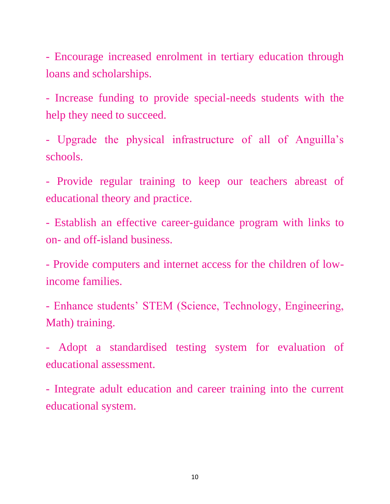- Encourage increased enrolment in tertiary education through loans and scholarships.

- Increase funding to provide special-needs students with the help they need to succeed.

- Upgrade the physical infrastructure of all of Anguilla's schools.

- Provide regular training to keep our teachers abreast of educational theory and practice.

- Establish an effective career-guidance program with links to on- and off-island business.

- Provide computers and internet access for the children of lowincome families.

- Enhance students' STEM (Science, Technology, Engineering, Math) training.

- Adopt a standardised testing system for evaluation of educational assessment.

- Integrate adult education and career training into the current educational system.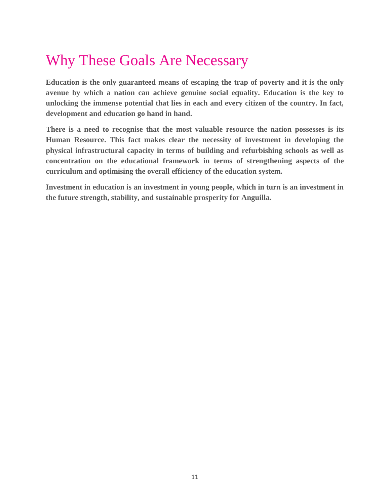## Why These Goals Are Necessary

**Education is the only guaranteed means of escaping the trap of poverty and it is the only avenue by which a nation can achieve genuine social equality. Education is the key to unlocking the immense potential that lies in each and every citizen of the country. In fact, development and education go hand in hand.**

**There is a need to recognise that the most valuable resource the nation possesses is its Human Resource. This fact makes clear the necessity of investment in developing the physical infrastructural capacity in terms of building and refurbishing schools as well as concentration on the educational framework in terms of strengthening aspects of the curriculum and optimising the overall efficiency of the education system.**

**Investment in education is an investment in young people, which in turn is an investment in the future strength, stability, and sustainable prosperity for Anguilla.**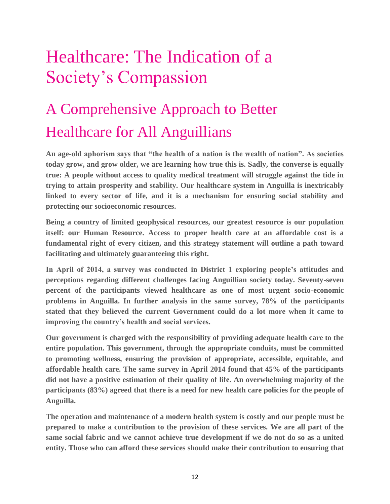## Healthcare: The Indication of a Society's Compassion

## A Comprehensive Approach to Better Healthcare for All Anguillians

**An age-old aphorism says that "the health of a nation is the wealth of nation". As societies today grow, and grow older, we are learning how true this is. Sadly, the converse is equally true: A people without access to quality medical treatment will struggle against the tide in trying to attain prosperity and stability. Our healthcare system in Anguilla is inextricably linked to every sector of life, and it is a mechanism for ensuring social stability and protecting our socioeconomic resources.**

**Being a country of limited geophysical resources, our greatest resource is our population itself: our Human Resource. Access to proper health care at an affordable cost is a fundamental right of every citizen, and this strategy statement will outline a path toward facilitating and ultimately guaranteeing this right.** 

**In April of 2014, a survey was conducted in District 1 exploring people's attitudes and perceptions regarding different challenges facing Anguillian society today. Seventy-seven percent of the participants viewed healthcare as one of most urgent socio-economic problems in Anguilla. In further analysis in the same survey, 78% of the participants stated that they believed the current Government could do a lot more when it came to improving the country's health and social services.** 

**Our government is charged with the responsibility of providing adequate health care to the entire population. This government, through the appropriate conduits, must be committed to promoting wellness, ensuring the provision of appropriate, accessible, equitable, and affordable health care. The same survey in April 2014 found that 45% of the participants did not have a positive estimation of their quality of life. An overwhelming majority of the participants (83%) agreed that there is a need for new health care policies for the people of Anguilla.**

**The operation and maintenance of a modern health system is costly and our people must be prepared to make a contribution to the provision of these services. We are all part of the same social fabric and we cannot achieve true development if we do not do so as a united entity. Those who can afford these services should make their contribution to ensuring that**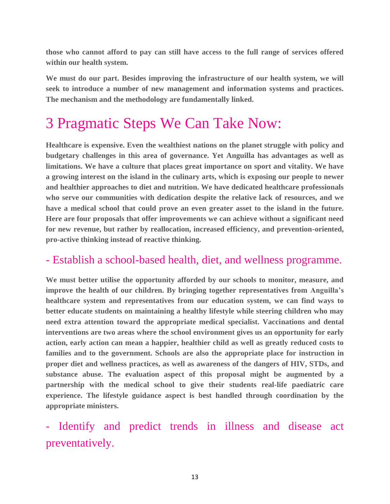**those who cannot afford to pay can still have access to the full range of services offered within our health system.**

**We must do our part. Besides improving the infrastructure of our health system, we will seek to introduce a number of new management and information systems and practices. The mechanism and the methodology are fundamentally linked.** 

## 3 Pragmatic Steps We Can Take Now:

**Healthcare is expensive. Even the wealthiest nations on the planet struggle with policy and budgetary challenges in this area of governance. Yet Anguilla has advantages as well as limitations. We have a culture that places great importance on sport and vitality. We have a growing interest on the island in the culinary arts, which is exposing our people to newer and healthier approaches to diet and nutrition. We have dedicated healthcare professionals who serve our communities with dedication despite the relative lack of resources, and we have a medical school that could prove an even greater asset to the island in the future. Here are four proposals that offer improvements we can achieve without a significant need for new revenue, but rather by reallocation, increased efficiency, and prevention-oriented, pro-active thinking instead of reactive thinking.**

#### - Establish a school-based health, diet, and wellness programme.

**We must better utilise the opportunity afforded by our schools to monitor, measure, and improve the health of our children. By bringing together representatives from Anguilla's healthcare system and representatives from our education system, we can find ways to better educate students on maintaining a healthy lifestyle while steering children who may need extra attention toward the appropriate medical specialist. Vaccinations and dental interventions are two areas where the school environment gives us an opportunity for early action, early action can mean a happier, healthier child as well as greatly reduced costs to families and to the government. Schools are also the appropriate place for instruction in proper diet and wellness practices, as well as awareness of the dangers of HIV, STDs, and substance abuse. The evaluation aspect of this proposal might be augmented by a partnership with the medical school to give their students real-life paediatric care experience. The lifestyle guidance aspect is best handled through coordination by the appropriate ministers.**

- Identify and predict trends in illness and disease act preventatively.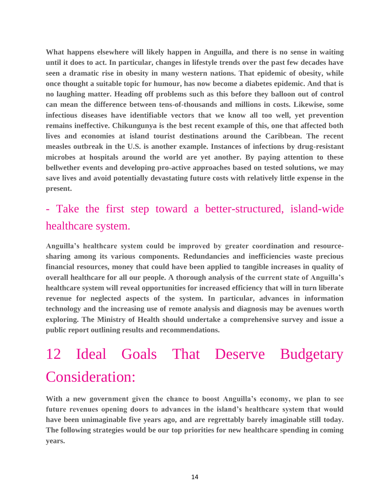**What happens elsewhere will likely happen in Anguilla, and there is no sense in waiting until it does to act. In particular, changes in lifestyle trends over the past few decades have seen a dramatic rise in obesity in many western nations. That epidemic of obesity, while once thought a suitable topic for humour, has now become a diabetes epidemic. And that is no laughing matter. Heading off problems such as this before they balloon out of control can mean the difference between tens-of-thousands and millions in costs. Likewise, some infectious diseases have identifiable vectors that we know all too well, yet prevention remains ineffective. Chikungunya is the best recent example of this, one that affected both lives and economies at island tourist destinations around the Caribbean. The recent measles outbreak in the U.S. is another example. Instances of infections by drug-resistant microbes at hospitals around the world are yet another. By paying attention to these bellwether events and developing pro-active approaches based on tested solutions, we may save lives and avoid potentially devastating future costs with relatively little expense in the present.**

#### - Take the first step toward a better-structured, island-wide healthcare system.

**Anguilla's healthcare system could be improved by greater coordination and resourcesharing among its various components. Redundancies and inefficiencies waste precious financial resources, money that could have been applied to tangible increases in quality of overall healthcare for all our people. A thorough analysis of the current state of Anguilla's healthcare system will reveal opportunities for increased efficiency that will in turn liberate revenue for neglected aspects of the system. In particular, advances in information technology and the increasing use of remote analysis and diagnosis may be avenues worth exploring. The Ministry of Health should undertake a comprehensive survey and issue a public report outlining results and recommendations.**

## 12 Ideal Goals That Deserve Budgetary Consideration:

**With a new government given the chance to boost Anguilla's economy, we plan to see future revenues opening doors to advances in the island's healthcare system that would have been unimaginable five years ago, and are regrettably barely imaginable still today. The following strategies would be our top priorities for new healthcare spending in coming years.**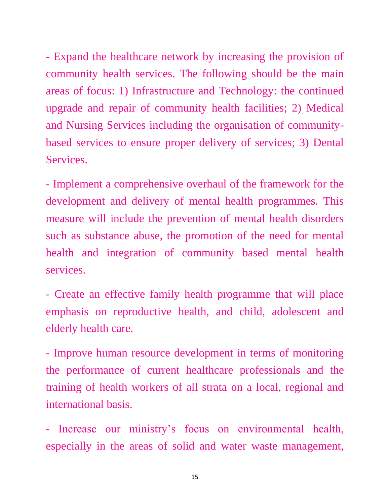- Expand the healthcare network by increasing the provision of community health services. The following should be the main areas of focus: 1) Infrastructure and Technology: the continued upgrade and repair of community health facilities; 2) Medical and Nursing Services including the organisation of communitybased services to ensure proper delivery of services; 3) Dental Services.

- Implement a comprehensive overhaul of the framework for the development and delivery of mental health programmes. This measure will include the prevention of mental health disorders such as substance abuse, the promotion of the need for mental health and integration of community based mental health services.

- Create an effective family health programme that will place emphasis on reproductive health, and child, adolescent and elderly health care.

- Improve human resource development in terms of monitoring the performance of current healthcare professionals and the training of health workers of all strata on a local, regional and international basis.

- Increase our ministry's focus on environmental health, especially in the areas of solid and water waste management,